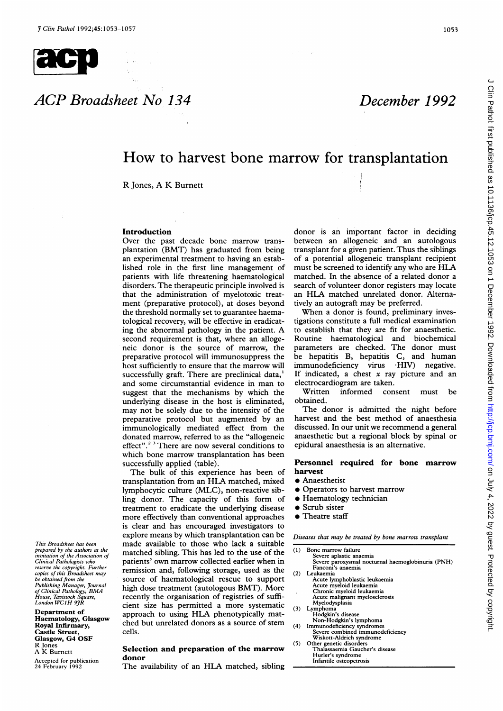

This Broadsheet has been prepared by the authors at the invitation of the Association of Clinical Pathologists who reserve the copyright. Further copies of this Broadsheet may

be obtained from the<br>Publishing Manager, Journal<br>of Clinical Pathology, BMA<br>House, Tavistock Square,<br>London WC1H 9JR

Department of Haematology, Glasgow Royal Infirmary, Castle Street, Glasgow, G4 OSF R Jones A K Burnett

Accepted for publication 24 February 1992

# ACP Broadsheet No <sup>134</sup> December 1992

## How to harvest bone marrow for transplantation

R Jones, A K Burnett

#### Introduction

Over the past decade bone marrow transplantation (BMT) has graduated from being an experimental treatment to having an established role in the first line management of patients with life threatening haematological disorders. The therapeutic principle involved is that the administration of myelotoxic treatment (preparative protocol), at doses beyond the threshold normally set to guarantee haematological recovery, will be effective in eradicating the abnormal pathology in the patient. A second requirement is that, where an allogeneic donor is the source of marrow, the preparative protocol will immunosuppress the host sufficiently to ensure that the marrow will successfully graft. There are preclinical data, and some circumstantial evidence in man to suggest that the mechanisms by which the underlying disease in the host is eliminated, may not be solely due to the intensity of the preparative protocol but augmented by an immunologically mediated effect from the donated marrow, referred to as the "allogeneic effect".<sup>2</sup> There are now several conditions to which bone marrow transplantation has been successfully applied (table).

The bulk of this experience has been of transplantation from an HLA matched, mixed lymphocytic culture (MLC), non-reactive sibling donor. The capacity of this form of treatment to eradicate the underlying disease more effectively than conventional approaches is clear and has encouraged investigators to explore means by which transplantation can be made available to those who lack <sup>a</sup> suitable matched sibling. This has led to the use of the patients' own marrow collected earlier when in remission and, following storage, used as the source of haematological rescue to support high dose treatment (autologous BMT). More recently the organisation of registries of sufficient size has permitted a more systematic approach to using HLA phenotypically matched but unrelated donors as a source of stem cells.

#### Selection and preparation of the marrow donor

The availability of an HLA matched, sibling

donor is an important factor in deciding between an allogeneic and an autologous transplant for a given patient. Thus the siblings of a potential allogeneic transplant recipient must be screened to identify any who are HLA matched. In the absence of a related donor a search of volunteer donor registers may locate an HLA matched unrelated donor. Alternatively an autograft may be preferred.

When <sup>a</sup> donor is found, preliminary investigations constitute a full medical examination to establish that they are fit for anaesthetic. Routine haematological and biochemical parameters are checked. The donor must be hepatitis B, hepatitis C, and human immunodeficiency virus · HIV) negative. If indicated, a chest  $x$  ray picture and an electrocardiogram are taken.

informed consent must be obtained.

The donor is admitted the night before harvest and the best method of anaesthesia discussed. In our unit we recommend a general anaesthetic but a regional block by spinal or epidural anaesthesia is an alternative.

#### Personnel required for bone marrow harvest

- Anaesthetist
- $\bullet$  Operators to harvest marrow
- $\bullet$  Haematology technician
- $\bullet$  Scrub sister
- $\bullet$  Theatre staff

Diseases that may be treated by bone marrow transplant

| (1) | Bone marrow failure                                                                                                                                                                                                                                                                                                                                    |
|-----|--------------------------------------------------------------------------------------------------------------------------------------------------------------------------------------------------------------------------------------------------------------------------------------------------------------------------------------------------------|
|     | Severe aplastic anaemia                                                                                                                                                                                                                                                                                                                                |
|     | Severe paroxysmal nocturnal haemoglobinuria (PNH)                                                                                                                                                                                                                                                                                                      |
|     | Fanconi's anaemia                                                                                                                                                                                                                                                                                                                                      |
| (2) | Leukaemia                                                                                                                                                                                                                                                                                                                                              |
|     | Acute lymphoblastic leukaemia                                                                                                                                                                                                                                                                                                                          |
|     | Acute myeloid leukaemia                                                                                                                                                                                                                                                                                                                                |
|     | Chronic myeloid leukaemia                                                                                                                                                                                                                                                                                                                              |
|     | Acute malignant myelosclerosis                                                                                                                                                                                                                                                                                                                         |
|     | Myelodysplasia                                                                                                                                                                                                                                                                                                                                         |
| (3) | Lymphoma                                                                                                                                                                                                                                                                                                                                               |
|     | Hodgkin's disease                                                                                                                                                                                                                                                                                                                                      |
|     | Non-Hodgkin's lymphoma                                                                                                                                                                                                                                                                                                                                 |
| (4) | Immunodeficiency syndromes                                                                                                                                                                                                                                                                                                                             |
|     | $\bullet$ and the set of $\bullet$ and $\bullet$ and $\bullet$ and $\bullet$ and $\bullet$ and $\bullet$ and $\bullet$ and $\bullet$ and $\bullet$ and $\bullet$ and $\bullet$ and $\bullet$ and $\bullet$ and $\bullet$ and $\bullet$ and $\bullet$ and $\bullet$ and $\bullet$ and $\bullet$ and $\bullet$ and $\bullet$ and $\bullet$ and $\bullet$ |

- (4) Immunodeficiency syndromes Severe combined immunodeficiency Wiskott-Aldrich syndrome
- (5) Other genetic disorders Thalassaemia Gaucher's disease Hurler's syndrome Infantile osteopetrosis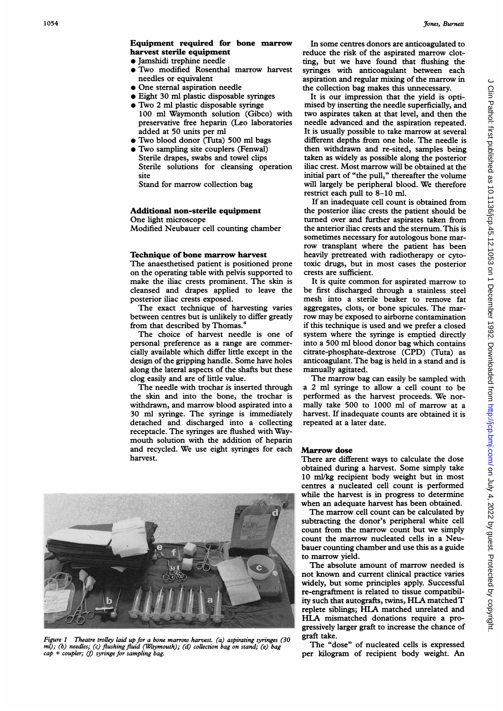<sup>30</sup> Forms, Burnet Communist Communist Communist Communist Communist Communist Communist Communist Communist Commu<br>154 Equipment required for bone marrow In some centres donors are anticoagulated to Equipment required for bone marrow harvest sterile equipment

- Jamshidi trephine needle
- $\bullet$  Two modified Rosenthal marrow harvest needles or equivalent
- One sternal aspiration needle
- $\bullet$  Eight 30 ml plastic disposable syringes
- Two 2 ml plastic disposable syringe 100 ml Waymonth solution (Gibco) with preservative free heparin (Leo laboratories added at 50 units per ml
- Two blood donor (Tuta) 500 ml bags
- Two sampling site couplers (Fenwal) Sterile drapes, swabs and towel clips Sterile solutions for cleansing operation site

Stand for marrow collection bag

### Additional non-sterile equipment

One light microscope

Modified Neubauer cell counting chamber

#### Technique of bone marrow harvest

The anaesthetised patient is positioned prone on the operating table with pelvis supported to make the iliac crests prominent. The skin is cleansed and drapes applied to leave the posterior iliac crests exposed.

The exact technique of harvesting varies between centres but is unlikely to differ greatly from that described by Thomas.<sup>4</sup>

The choice of harvest needle is one of personal preference as a range are commercially available which differ little except in the design of the gripping handle. Some have holes along the lateral aspects of the shafts but these clog easily and are of little value.

The needle with trochar is inserted through the skin and into the bone, the trochar is withdrawn, and marrow blood aspirated into a 30 ml syringe. The syringe is immediately detached and discharged into a collecting receptacle. The syringes are flushed with Waymouth solution with the addition of heparin and recycled. We use eight syringes for each harvest.



Figure 1 Theatre trolley laid up for a bone marrow harvest. (a) aspirating syringes (30 ml); (b) needles; (c) flushing fluid (Waymouth); (d) collection bag on stand; (e) bag  $cap$  + coupler; (f) syringe for sampling bag.

In some centres donors are anticoagulated to reduce the risk of the aspirated marrow clotting, but we have found that flushing the syringes with anticoagulant between each aspiration and regular mixing of the marrow in the collection bag makes this unnecessary.

It is our impression that the yield is optimised by inserting the needle superficially, and two aspirates taken at that level, and then the needle advanced and the aspiration repeated. It is usually possible to take marrow at several different depths from one hole. The needle is then withdrawn and re-sited, samples being taken as widely as possible along the posterior iliac crest. Most marrow will be obtained at the initial part of "the pull," thereafter the volume will largely be peripheral blood. We therefore restrict each pull to 8-10 ml.

If an inadequate cell count is obtained from the posterior iliac crests the patient should be turned over and further aspirates taken from the anterior iliac crests and the sternum. This is sometimes necessary for autologous bone marrow transplant where the patient has been heavily pretreated with radiotherapy or cytotoxic drugs, but in most cases the posterior crests are sufficient.

It is quite common for aspirated marrow to be first discharged through a stainless steel mesh into a sterile beaker to remove fat aggregates, clots, or bone spicules. The marrow may be exposed to airborne contamination if this technique is used and we prefer a closed system where the syringe is emptied directly into a 500 ml blood donor bag which contains citrate-phosphate-dextrose (CPD) (Tuta) as anticoagulant. The bag is held in a stand and is manually agitated.

The marrow bag can easily be sampled with a 2 ml syringe to allow a cell count to be performed as the harvest proceeds. We normally take 500 to 1000 ml of marrow at a harvest. If inadequate counts are obtained it is repeated at a later date.

#### Marrow dose

There are different ways to calculate the dose obtained during a harvest. Some simply take 10 ml/kg recipient body weight but in most centres a nucleated cell count is performed while the harvest is in progress to determine when an adequate harvest has been obtained.

The marrow cell count can be calculated by subtracting the donor's peripheral white cell count from the marrow count but we simply count the marrow nucleated cells in a Neubauer counting chamber and use this as a guide to marrow yield.

The absolute amount of marrow needed is not known and current clinical practice varies widely, but some principles apply. Successful re-engraftment is related to tissue compatibility such that autografts, twins, HLA matchedT replete siblings; HIA matched unrelated and HILA mismatched donations require a progressively larger graft to increase the chance of graft take.

The "dose" of nucleated cells is expressed per kilogram of recipient body weight. An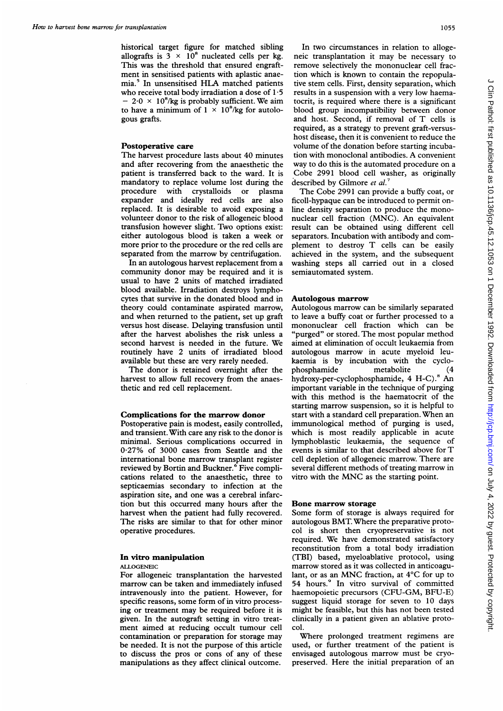historical target figure for matched sibling allografts is  $3 \times 10^8$  nucleated cells per kg. This was the threshold that ensured engraftment in sensitised patients with aplastic anaemia.5 In unsensitised HLA matched patients who receive total body irradiation a dose of  $1.5$  $-$  2.0  $\times$  10<sup>8</sup>/kg is probably sufficient. We aim to have a minimum of  $1 \times 10^8$ /kg for autologous grafts.

#### Postoperative care

The harvest procedure lasts about 40 minutes and after recovering from the anaesthetic the patient is transferred back to the ward. It is mandatory to replace volume lost during the procedure with crystalloids or plasma expander and ideally red cells are also replaced. It is desirable to avoid exposing a volunteer donor to the risk of allogeneic blood transfusion however slight. Two options exist: either autologous blood is taken a week or more prior to the procedure or the red cells are separated from the marrow by centrifugation.

In an autologous harvest replacement from a community donor may be required and it is usual to have 2 units of matched irradiated blood available. Irradiation destroys lymphocytes that survive in the donated blood and in theory could contaminate aspirated marrow, and when returned to the patient, set up graft versus host disease. Delaying transfusion until after the harvest abolishes the risk unless a second harvest is needed in the future. We routinely have 2 units of irradiated blood available but these are very rarely needed.

The donor is retained overnight after the harvest to allow full recovery from the anaesthetic and red cell replacement.

#### Complications for the marrow donor

Postoperative pain is modest, easily controlled, and transient. With care any risk to the donor is minimal. Serious complications occurred in 0-27% of 3000 cases from Seattle and the international bone marrow transplant register reviewed by Bortin and Buckner.<sup>6</sup> Five complications related to the anaesthetic, three to septicaemias secondary to infection at the aspiration site, and one was a cerebral infarction but this occurred many hours after the harvest when the patient had fully recovered. The risks are similar to that for other minor operative procedures.

#### In vitro manipulation

#### ALLOGENEIC

For allogeneic transplantation the harvested marrow can be taken and immediately infused intravenously into the patient. However, for specific reasons, some form of in vitro processing or treatment may be required before it is given. In the autograft setting in vitro treatment aimed at reducing occult tumour cell contamination or preparation for storage may be needed. It is not the purpose of this article to discuss the pros or cons of any of these manipulations as they affect clinical outcome.

In two circumstances in relation to allogeneic transplantation it may be necessary to remove selectively the mononuclear cell fraction which is known to contain the repopulative stem cells. First, density separation, which results in a suspension with a very low haematocrit, is required where there is a significant blood group incompatibility between donor and host. Second, if removal of T cells is required, as a strategy to prevent graft-versushost disease, then it is convenient to reduce the volume of the donation before starting incubation with monoclonal antibodies. A convenient way to do this is the automated procedure on a Cobe 2991 blood cell washer, as originally described by Gilmore et al.<sup>7</sup>

The Cobe 2991 can provide a buffy coat, or ficoll-hypaque can be introduced to permit online density separation to produce the mononuclear cell fraction (MNC). An equivalent result can be obtained using different cell separators. Incubation with antibody and complement to destroy T cells can be easily achieved in the system, and the subsequent washing steps all carried out in a closed semiautomated system.

#### Autologous marrow

Autologous marrow can be similarly separated to leave a buffy coat or further processed to a mononuclear cell fraction which can be "purged" or stored. The most popular method aimed at elimination of occult leukaemia from autologous marrow in acute myeloid leukaemia is by incubation with the cyclophosphamide metabolite (4 hydroxy-per-cyclophosphamide, 4 H-C).<sup>8</sup> An important variable in the technique of purging with this method is the haematocrit of the starting marrow suspension, so it is helpful to start with <sup>a</sup> standard cell preparation. When an immunological method of purging is used, which is most readily applicable in acute lymphoblastic leukaemia, the sequence of events is similar to that described above for T cell depletion of allogeneic marrow. There are several different methods of treating marrow in vitro with the MNC as the starting point.

#### Bone marrow storage

Some form of storage is always required for autologous BMT. Where the preparative protocol is short then cryopreservative is not required. We have demonstrated satisfactory reconstitution from a total body irradiation (TBI) based, myeloablative protocol, using marrow stored as it was collected in anticoagulant, or as an MNC fraction, at 4°C for up to 54 hours.<sup>9</sup> In vitro survival of committed haemopoietic precursors (CFU-GM, BFU-E) suggest liquid storage for seven to 10 days might be feasible, but this has not been tested clinically in a patient given an ablative protocol.

Where prolonged treatment regimens are used, or further treatment of the patient is envisaged autologous marrow must be cryopreserved. Here the initial preparation of an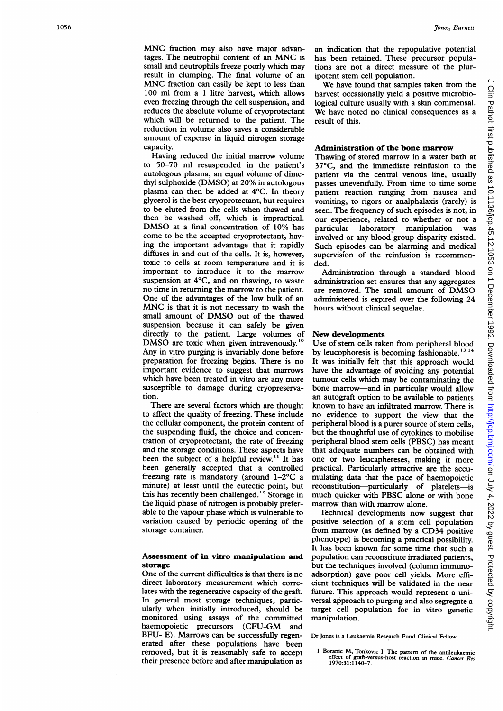36<br>MNC fraction may also have major advan- an indication that the repopulative potential MNC fraction may also have major advantages. The neutrophil content of an MNC is small and neutrophils freeze poorly which may result in clumping. The final volume of an MNC fraction can easily be kept to less than 100 ml from a <sup>1</sup> litre harvest, which allows even freezing through the cell suspension, and reduces the absolute volume of cryoprotectant which will be returned to the patient. The reduction in volume also saves a considerable amount of expense in liquid nitrogen storage capacity.

> Having reduced the initial marrow volume to 50-70 ml resuspended in the patient's autologous plasma, an equal volume of dimethyl sulphoxide (DMSO) at 20% in autologous plasma can then be added at 4°C. In theory glycerol is the best cryoprotectant, but requires to be eluted from the cells when thawed and then be washed off, which is impractical. DMSO at <sup>a</sup> final concentration of 10% has come to be the accepted cryoprotectant, having the important advantage that it rapidly diffuses in and out of the cells. It is, however, toxic to cells at room temperature and it is important to introduce it to the marrow suspension at 4°C, and on thawing, to waste no time in returning the marrow to the patient. One of the advantages of the low bulk of an MNC is that it is not necessary to wash the small amount of DMSO out of the thawed suspension because it can safely be given directly to the patient. Large volumes of DMSO are toxic when given intravenously.<sup>10</sup> Any in vitro purging is invariably done before preparation for freezing begins. There is no important evidence to suggest that marrows which have been treated in vitro are any more susceptible to damage during cryopreservation.

There are several factors which are thought to affect the quality of freezing. These include the cellular component, the protein content of the suspending fluid, the choice and concentration of cryoprotectant, the rate of freezing and the storage conditions. These aspects have been the subject of a helpful review.<sup>11</sup> It has been generally accepted that a controlled freezing rate is mandatory (around 1-2°C a minute) at least until the eutectic point, but this has recently been challenged.'2 Storage in the liquid phase of nitrogen is probably preferable to the vapour phase which is vulnerable to variation caused by periodic opening of the storage container.

#### Assessment of in vitro manipulation and storage

One of the current difficulties is that there is no direct laboratory measurement which correlates with the regenerative capacity of the graft. In general most storage techniques, particularly when initially introduced, should be monitored using assays of the committed haemopoietic precursors (CFU-GM and BFU- E). Marrows can be successfully regenerated after these populations have been removed, but it is reasonably safe to accept their presence before and after manipulation as

an indication that the repopulative potential has been retained. These precursor populations are not a direct measure of the pluripotent stem cell population.

We have found that samples taken from the harvest occasionally yield a positive microbiological culture usually with a skin commensal. We have noted no clinical consequences as a result of this.

#### Administration of the bone marrow

Thawing of stored marrow in a water bath at 37°C, and the immediate reinfusion to the patient via the central venous line, usually passes uneventfully. From time to time some patient reaction ranging from nausea and vomiting, to rigors or analphalaxis (rarely) is seen. The frequency of such episodes is not, in our experience, related to whether or not a<br>particular laboratory manipulation was particular laboratory manipulation involved or any blood group disparity existed. Such episodes can be alarming and medical supervision of the reinfusion is recommended.

Administration through a standard blood administration set ensures that any aggregates are removed. The small amount of DMSO administered is expired over the following 24 hours without clinical sequelae.

#### New developments

Use of stem cells taken from peripheral blood by leucophoresis is becoming fashionable.<sup>13 14</sup> It was initially felt that this approach would have the advantage of avoiding any potential tumour cells which may be contaminating the bone marrow-and in particular would allow an autograft option to be available to patients known to have an infiltrated marrow. There is no evidence to support the view that the peripheral blood is a purer source of stem cells, but the thoughtful use of cytokines to mobilise peripheral blood stem cells (PBSC) has meant that adequate numbers can be obtained with one or two leucaphereses, making it more practical. Particularly attractive are the accumulating data that the pace of haemopoietic reconstitution-particularly of platelets-is much quicker with PBSC alone or with bone marrow than with marrow alone.

Technical developments now suggest that positive selection of a stem cell population from marrow (as defined by <sup>a</sup> CD34 positive phenotype) is becoming a practical possibility. It has been known for some time that such a population can reconstitute irradiated patients, but the techniques involved (column immunoadsorption) gave poor cell yields. More efficient techniques will be validated in the near future. This approach would represent a universal approach to purging and also segregate a target cell population for in vitro genetic manipulation.

Dr Jones is <sup>a</sup> Leukaemia Research Fund Clinical Fellow.

<sup>I</sup> Boranic M, Tonkovic I. The pattern of the antileukaemic effect of graft-versus-host reaction in mice. Cancer Res<br>1970;31:1140-7.